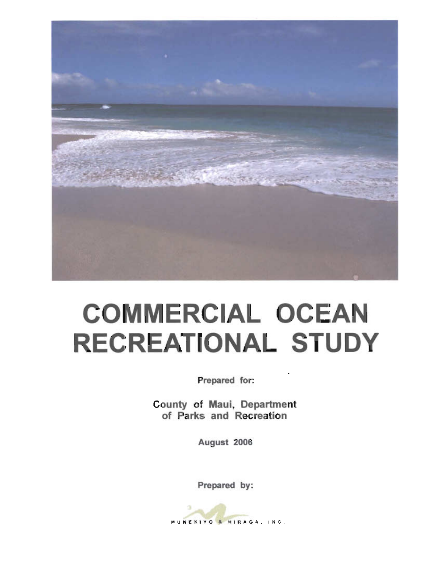

## **COMMERCIAL OCEAN RECREATIONAL STUDY**

Prepared for:

County of Maui, Department of Parks and Recreation

August 2006

Prepared by:

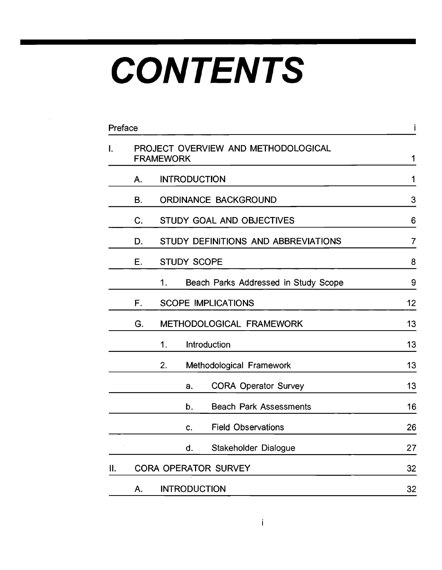## **CONTENTS**

| Preface |    |                                                         | İ              |
|---------|----|---------------------------------------------------------|----------------|
| Ι.      |    | PROJECT OVERVIEW AND METHODOLOGICAL<br><b>FRAMEWORK</b> | 1              |
|         | Α. | <b>INTRODUCTION</b>                                     | 1              |
|         | B. | <b>ORDINANCE BACKGROUND</b>                             | 3              |
|         | C. | STUDY GOAL AND OBJECTIVES                               | 6              |
|         | D. | STUDY DEFINITIONS AND ABBREVIATIONS                     | $\overline{7}$ |
|         | Е. | <b>STUDY SCOPE</b>                                      | 8              |
|         |    | 1.<br>Beach Parks Addressed in Study Scope              | 9              |
|         | F. | <b>SCOPE IMPLICATIONS</b>                               | 12             |
|         | G. | METHODOLOGICAL FRAMEWORK                                | 13             |
|         |    | 1.<br><b>Introduction</b>                               | 13             |
|         |    | Methodological Framework<br>2.                          | 13             |
|         |    | <b>CORA Operator Survey</b><br>a.                       | 13             |
|         |    | <b>Beach Park Assessments</b><br>b.                     | 16             |
|         |    | <b>Field Observations</b><br>C.                         | 26             |
|         |    | Stakeholder Dialogue<br>d.                              | 27             |
| Ⅱ.      |    | <b>CORA OPERATOR SURVEY</b>                             | 32             |
|         | A. | <b>INTRODUCTION</b>                                     | 32             |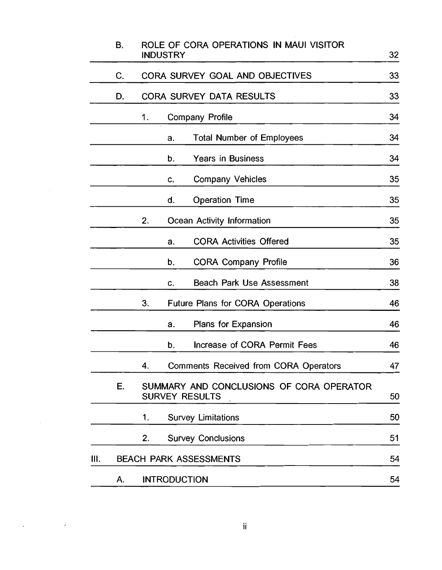|    | В. |    | <b>INDUSTRY</b>     | ROLE OF CORA OPERATIONS IN MAUI VISITOR                           | 32 |
|----|----|----|---------------------|-------------------------------------------------------------------|----|
|    | C. |    |                     | CORA SURVEY GOAL AND OBJECTIVES                                   | 33 |
|    | D. |    |                     | <b>CORA SURVEY DATA RESULTS</b>                                   | 33 |
|    |    | 1. |                     | <b>Company Profile</b>                                            | 34 |
|    |    |    | a.                  | <b>Total Number of Employees</b>                                  | 34 |
|    |    |    | b.                  | <b>Years in Business</b>                                          | 34 |
|    |    |    | c.                  | <b>Company Vehicles</b>                                           | 35 |
|    |    |    | d.                  | <b>Operation Time</b>                                             | 35 |
|    |    | 2. |                     | Ocean Activity Information                                        | 35 |
|    |    |    | a.                  | <b>CORA Activities Offered</b>                                    | 35 |
|    |    |    | b.                  | <b>CORA Company Profile</b>                                       | 36 |
|    |    |    | c.                  | <b>Beach Park Use Assessment</b>                                  | 38 |
|    |    | 3. |                     | <b>Future Plans for CORA Operations</b>                           | 46 |
|    |    |    | a.                  | Plans for Expansion                                               | 46 |
|    |    |    | b.                  | Increase of CORA Permit Fees                                      | 46 |
|    |    | 4. |                     | <b>Comments Received from CORA Operators</b>                      | 47 |
|    | Е. |    |                     | SUMMARY AND CONCLUSIONS OF CORA OPERATOR<br><b>SURVEY RESULTS</b> | 50 |
|    |    | 1. |                     | <b>Survey Limitations</b>                                         | 50 |
|    |    | 2. |                     | <b>Survey Conclusions</b>                                         | 51 |
| Ш. |    |    |                     | <b>BEACH PARK ASSESSMENTS</b>                                     | 54 |
|    | A. |    | <b>INTRODUCTION</b> |                                                                   | 54 |
|    |    |    |                     |                                                                   |    |

 $\label{eq:2.1} \mathcal{L}(\mathcal{L}^{\text{max}}) = \mathcal{L}(\mathcal{L}^{\text{max}})$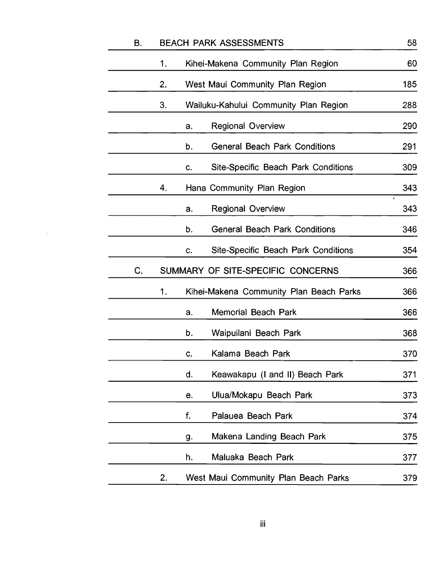| B. |    | <b>BEACH PARK ASSESSMENTS</b>  |                                            | 58               |
|----|----|--------------------------------|--------------------------------------------|------------------|
|    | 1. |                                | Kihei-Makena Community Plan Region         | 60               |
|    | 2. |                                | West Maui Community Plan Region            | 185              |
|    | 3. |                                | Wailuku-Kahului Community Plan Region      | 288              |
|    |    | <b>Regional Overview</b><br>a. |                                            | 290              |
|    |    | b.                             | <b>General Beach Park Conditions</b>       | 291              |
|    |    | c.                             | <b>Site-Specific Beach Park Conditions</b> | 309              |
|    | 4. | Hana Community Plan Region     |                                            | 343              |
|    |    | <b>Regional Overview</b><br>a. |                                            | $\bullet$<br>343 |
|    |    | b.                             | <b>General Beach Park Conditions</b>       | 346              |
|    |    | c.                             | <b>Site-Specific Beach Park Conditions</b> | 354              |
|    |    |                                |                                            |                  |
| C. |    |                                | SUMMARY OF SITE-SPECIFIC CONCERNS          | 366              |
|    | 1. |                                | Kihei-Makena Community Plan Beach Parks    | 366              |
|    |    | a.                             | <b>Memorial Beach Park</b>                 | 366              |
|    |    | b.                             | Waipuilani Beach Park                      | 368              |
|    |    | c.                             | Kalama Beach Park                          | 370              |
|    |    | d.                             | Keawakapu (I and II) Beach Park            | 371              |
|    |    | е.                             | Ulua/Mokapu Beach Park                     | 373              |
|    |    | f.                             | Palauea Beach Park                         | 374              |
|    |    | g.                             | Makena Landing Beach Park                  | 375              |
|    |    | h.                             | Maluaka Beach Park                         | 377              |

 $\mathcal{L}^{\text{max}}_{\text{max}}$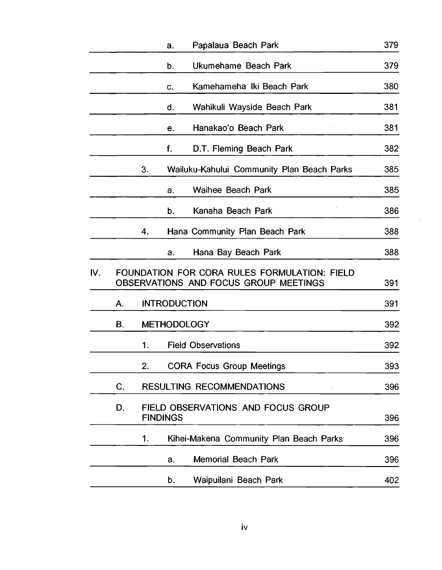|     |    |    | a.                  | Papalaua Beach Park                                                                   | 379        |
|-----|----|----|---------------------|---------------------------------------------------------------------------------------|------------|
|     |    |    | b.                  | Ukumehame Beach Park                                                                  | 379        |
|     |    |    | c.                  | Kamehameha Iki Beach Park                                                             | 380        |
|     |    |    | d.                  | Wahikuli Wayside Beach Park                                                           | 381        |
|     |    |    | е.                  | Hanakao'o Beach Park                                                                  | 381        |
|     |    |    | f.                  | D.T. Fleming Beach Park                                                               | 382        |
|     |    | 3. |                     | Wailuku-Kahului Community Plan Beach Parks                                            | 385        |
|     |    |    | a.                  | Waihee Beach Park                                                                     | 385        |
|     |    |    | b.                  | Kanaha Beach Park                                                                     | 386        |
|     |    | 4. |                     | Hana Community Plan Beach Park                                                        | 388        |
|     |    |    | a.                  | Hana Bay Beach Park                                                                   | 388        |
| IV. |    |    |                     | FOUNDATION FOR CORA RULES FORMULATION: FIELD<br>OBSERVATIONS AND FOCUS GROUP MEETINGS | 391        |
|     | A. |    | <b>INTRODUCTION</b> |                                                                                       | 391        |
|     | В. |    | <b>METHODOLOGY</b>  |                                                                                       | 392        |
|     |    | 1. |                     | <b>Field Observations</b>                                                             | 392        |
|     |    | 2. |                     | <b>CORA Focus Group Meetings</b>                                                      | 393        |
|     | C. |    |                     | <b>RESULTING RECOMMENDATIONS</b>                                                      | 396        |
|     |    |    |                     |                                                                                       |            |
|     | D. |    | <b>FINDINGS</b>     | FIELD OBSERVATIONS AND FOCUS GROUP                                                    |            |
|     |    | 1. |                     | Kihei-Makena Community Plan Beach Parks                                               |            |
|     |    |    | a.                  | <b>Memorial Beach Park</b>                                                            | 396<br>396 |
|     |    |    | b.                  | Waipuilani Beach Park                                                                 | 396<br>402 |

 $\sim$ 

 $\mathcal{A}^{\mathcal{A}}$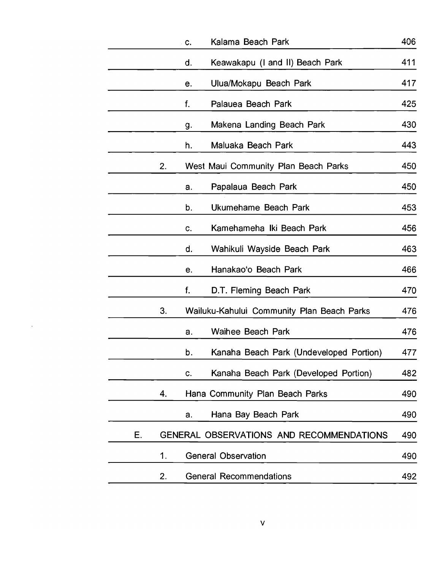| Kalama Beach Park<br>C.                               | 406                                            |
|-------------------------------------------------------|------------------------------------------------|
| Keawakapu (I and II) Beach Park<br>d.                 | 411                                            |
| Ulua/Mokapu Beach Park<br>е.                          | 417                                            |
| f.<br>Palauea Beach Park                              | 425                                            |
| Makena Landing Beach Park<br>g.                       | 430                                            |
| Maluaka Beach Park<br>h.                              | 443                                            |
| 2.<br>West Maui Community Plan Beach Parks            | 450                                            |
| Papalaua Beach Park<br>a.                             | 450                                            |
| b.<br>Ukumehame Beach Park                            | 453                                            |
| Kamehameha Iki Beach Park<br>c.                       | 456                                            |
| Wahikuli Wayside Beach Park<br>d.                     | 463                                            |
| Hanakao'o Beach Park<br>e.                            | 466                                            |
| f.<br>D.T. Fleming Beach Park                         | 470                                            |
| 3.<br>Wailuku-Kahului Community Plan Beach Parks      | 476                                            |
| Waihee Beach Park<br>a.                               | 476                                            |
| b.                                                    | Kanaha Beach Park (Undeveloped Portion)<br>477 |
| c.                                                    | Kanaha Beach Park (Developed Portion)<br>482   |
| Hana Community Plan Beach Parks<br>4.                 | 490                                            |
| Hana Bay Beach Park<br>a.                             | 490                                            |
| Е.<br><b>GENERAL OBSERVATIONS AND RECOMMENDATIONS</b> | 490                                            |
| <b>General Observation</b><br>1.                      | 490                                            |
| <b>General Recommendations</b><br>2.                  | 492                                            |

 $\mathcal{A}^{\text{max}}_{\text{max}}$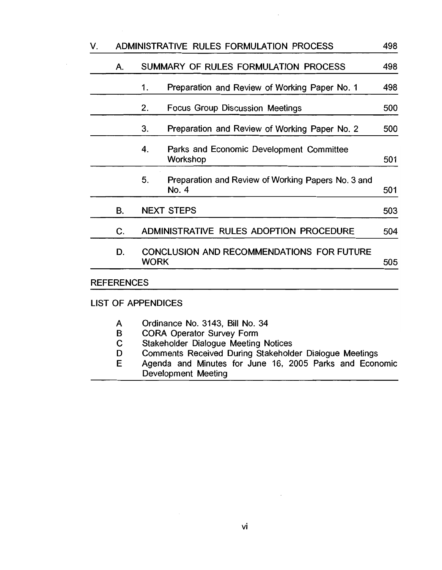| V. |                   | ADMINISTRATIVE RULES FORMULATION PROCESS                          | 498 |
|----|-------------------|-------------------------------------------------------------------|-----|
|    | А.                | SUMMARY OF RULES FORMULATION PROCESS                              | 498 |
|    |                   | Preparation and Review of Working Paper No. 1<br>1.               | 498 |
|    |                   | <b>Focus Group Discussion Meetings</b><br>2.                      | 500 |
|    |                   | Preparation and Review of Working Paper No. 2<br>3.               | 500 |
|    |                   | 4.<br>Parks and Economic Development Committee<br>Workshop        | 501 |
|    |                   | 5.<br>Preparation and Review of Working Papers No. 3 and<br>No. 4 | 501 |
|    | В.                | <b>NEXT STEPS</b>                                                 | 503 |
|    | C.                | ADMINISTRATIVE RULES ADOPTION PROCEDURE                           | 504 |
|    | D.                | CONCLUSION AND RECOMMENDATIONS FOR FUTURE<br><b>WORK</b>          | 505 |
|    | <b>REFERENCES</b> |                                                                   |     |
|    |                   | <b>LIST OF APPENDICES</b>                                         |     |

- A Ordinance No. 3143, Bill No. 34
- B CORA Operator Survey Form
- C Stakeholder Dialogue Meeting Notices
- D Comments Received During Stakeholder Dialogue Meetings
- E Agenda and Minutes for June 16, 2005 Parks and Economic Development Meeting

 $\mathcal{L}$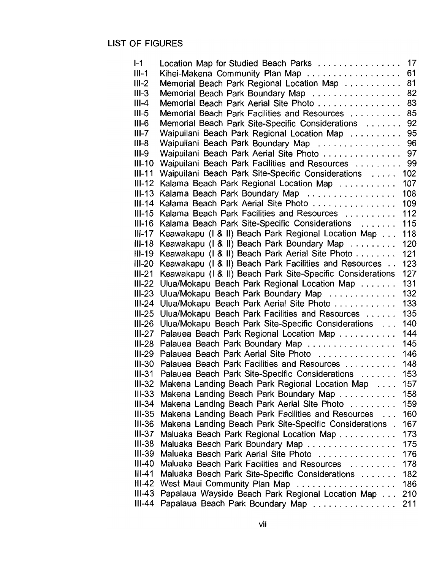## LIST OF FIGURES

| $I-1$     | Location Map for Studied Beach Parks                       | 17  |
|-----------|------------------------------------------------------------|-----|
| $III-1$   | Kihei-Makena Community Plan Map                            | 61  |
| $III-2$   | Memorial Beach Park Regional Location Map                  | 81  |
|           |                                                            | 82  |
| $III-3$   | Memorial Beach Park Boundary Map                           |     |
| $III - 4$ | Memorial Beach Park Aerial Site Photo                      | 83  |
| $III-5$   | Memorial Beach Park Facilities and Resources               | 85  |
| $III-6$   | Memorial Beach Park Site-Specific Considerations           | 92  |
| $III-7$   | Waipuilani Beach Park Regional Location Map                | 95  |
| $III-8$   | Waipuilani Beach Park Boundary Map                         | 96  |
| $III-9$   | Waipuilani Beach Park Aerial Site Photo                    | 97  |
| $III-10$  | Waipuilani Beach Park Facilities and Resources             | 99  |
|           |                                                            |     |
| $III-11$  | Waipuilani Beach Park Site-Specific Considerations         | 102 |
| $III-12$  | Kalama Beach Park Regional Location Map                    | 107 |
| $III-13$  | Kalama Beach Park Boundary Map                             | 108 |
| $III-14$  | Kalama Beach Park Aerial Site Photo                        | 109 |
| III-15    | Kalama Beach Park Facilities and Resources                 | 112 |
| $III-16$  | Kalama Beach Park Site-Specific Considerations             | 115 |
| $III-17$  | Keawakapu (1 & II) Beach Park Regional Location Map        | 118 |
| $III-18$  | Keawakapu (1 & II) Beach Park Boundary Map                 | 120 |
| $III-19$  | Keawakapu (1 & II) Beach Park Aerial Site Photo            | 121 |
| $III-20$  | Keawakapu (I & II) Beach Park Facilities and Resources     | 123 |
|           |                                                            |     |
| $III-21$  | Keawakapu (I & II) Beach Park Site-Specific Considerations | 127 |
| $III-22$  | Ulua/Mokapu Beach Park Regional Location Map               | 131 |
| $III-23$  | Ulua/Mokapu Beach Park Boundary Map                        | 132 |
| $III-24$  | Ulua/Mokapu Beach Park Aerial Site Photo                   | 133 |
| $III-25$  | Ulua/Mokapu Beach Park Facilities and Resources            | 135 |
| III-26    | Ulua/Mokapu Beach Park Site-Specific Considerations        | 140 |
| III-27    | Palauea Beach Park Regional Location Map                   | 144 |
| III-28    | Palauea Beach Park Boundary Map                            | 145 |
| III-29    | Palauea Beach Park Aerial Site Photo                       | 146 |
| III-30    | Palauea Beach Park Facilities and Resources                | 148 |
| III-31    | Palauea Beach Park Site-Specific Considerations            | 153 |
|           | III-32 Makena Landing Beach Park Regional Location Map     | 157 |
| $III-33$  |                                                            |     |
|           | Makena Landing Beach Park Boundary Map                     | 158 |
| III-34    | Makena Landing Beach Park Aerial Site Photo                | 159 |
| $III-35$  | Makena Landing Beach Park Facilities and Resources         | 160 |
| $III-36$  | Makena Landing Beach Park Site-Specific Considerations.    | 167 |
| $III-37$  | Maluaka Beach Park Regional Location Map                   | 173 |
| $III-38$  | Maluaka Beach Park Boundary Map                            | 175 |
| $III-39$  | Maluaka Beach Park Aerial Site Photo                       | 176 |
| $III-40$  | Maluaka Beach Park Facilities and Resources                | 178 |
| $III-41$  | Maluaka Beach Park Site-Specific Considerations            | 182 |
| III-42    | West Maui Community Plan Map                               | 186 |
| $III-43$  | Papalaua Wayside Beach Park Regional Location Map          | 210 |
| III-44    | Papalaua Beach Park Boundary Map                           | 211 |
|           |                                                            |     |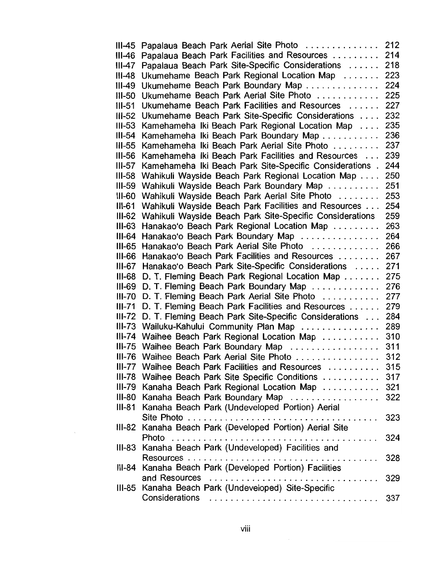| III-45     | Papalaua Beach Park Aerial Site Photo                    | 212 |
|------------|----------------------------------------------------------|-----|
| III-46     | Papalaua Beach Park Facilities and Resources             | 214 |
| III-47     | Papalaua Beach Park Site-Specific Considerations         | 218 |
| $III-48$   | Ukumehame Beach Park Regional Location Map               | 223 |
| $III-49$   | Ukumehame Beach Park Boundary Map                        | 224 |
| $III-50$   | Ukumehame Beach Park Aerial Site Photo                   | 225 |
|            |                                                          |     |
| $III - 51$ | Ukumehame Beach Park Facilities and Resources            | 227 |
| $III-52$   | Ukumehame Beach Park Site-Specific Considerations        | 232 |
| $III-53$   | Kamehameha Iki Beach Park Regional Location Map          | 235 |
| $III-54$   | Kamehameha Iki Beach Park Boundary Map                   | 236 |
| $III-55$   | Kamehameha Iki Beach Park Aerial Site Photo              | 237 |
| $III - 56$ | Kamehameha Iki Beach Park Facilities and Resources       | 239 |
| $III-57$   | Kamehameha Iki Beach Park Site-Specific Considerations.  | 244 |
| $III-58$   | Wahikuli Wayside Beach Park Regional Location Map        | 250 |
| $III-59$   | Wahikuli Wayside Beach Park Boundary Map                 | 251 |
| $III-60$   | Wahikuli Wayside Beach Park Aerial Site Photo            | 253 |
| $III-61$   | Wahikuli Wayside Beach Park Facilities and Resources     | 254 |
| $III-62$   | Wahikuli Wayside Beach Park Site-Specific Considerations | 259 |
| $III-63$   | Hanakao'o Beach Park Regional Location Map               | 263 |
| $III-64$   | Hanakao'o Beach Park Boundary Map                        | 264 |
| $III-65$   | Hanakao'o Beach Park Aerial Site Photo                   | 266 |
| $III-66$   | Hanakao'o Beach Park Facilities and Resources            | 267 |
| III-67     | Hanakao'o Beach Park Site-Specific Considerations        | 271 |
| $III-68$   | D. T. Fleming Beach Park Regional Location Map           | 275 |
| $III-69$   |                                                          | 276 |
| $III-70$   | D. T. Fleming Beach Park Boundary Map                    | 277 |
|            | D. T. Fleming Beach Park Aerial Site Photo               |     |
| $III-71$   | D. T. Fleming Beach Park Facilities and Resources        | 279 |
| III-72     | D. T. Fleming Beach Park Site-Specific Considerations    | 284 |
|            | III-73 Wailuku-Kahului Community Plan Map                | 289 |
|            | III-74 Waihee Beach Park Regional Location Map           | 310 |
|            | III-75 Waihee Beach Park Boundary Map                    | 311 |
|            | III-76 Waihee Beach Park Aerial Site Photo               | 312 |
|            | III-77 Waihee Beach Park Facilities and Resources        | 315 |
|            | III-78 Waihee Beach Park Site Specific Conditions        | 317 |
|            | III-79 Kanaha Beach Park Regional Location Map           | 321 |
|            | III-80 Kanaha Beach Park Boundary Map                    | 322 |
|            | III-81 Kanaha Beach Park (Undeveloped Portion) Aerial    |     |
|            |                                                          | 323 |
|            | III-82 Kanaha Beach Park (Developed Portion) Aerial Site |     |
|            | Photo                                                    | 324 |
|            | III-83 Kanaha Beach Park (Undeveloped) Facilities and    |     |
|            |                                                          | 328 |
|            | III-84 Kanaha Beach Park (Developed Portion) Facilities  |     |
|            | and Resources                                            | 329 |
|            | III-85 Kanaha Beach Park (Undeveloped) Site-Specific     |     |
|            | Considerations                                           | 337 |
|            |                                                          |     |

 $\hat{\mathcal{S}}$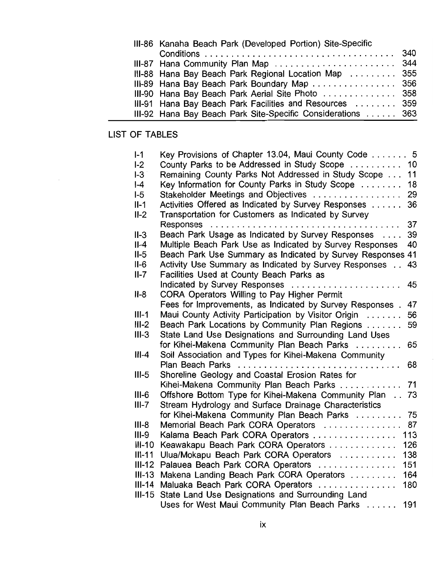| III-86 Kanaha Beach Park (Developed Portion) Site-Specific  |  |
|-------------------------------------------------------------|--|
|                                                             |  |
| III-87 Hana Community Plan Map  344                         |  |
| III-88 Hana Bay Beach Park Regional Location Map  355       |  |
| III-89 Hana Bay Beach Park Boundary Map  356                |  |
| III-90 Hana Bay Beach Park Aerial Site Photo  358           |  |
| III-91 Hana Bay Beach Park Facilities and Resources  359    |  |
| III-92 Hana Bay Beach Park Site-Specific Considerations 363 |  |

## LIST OF TABLES

| $I-1$    | Key Provisions of Chapter 13.04, Maui County Code  5           |
|----------|----------------------------------------------------------------|
| $I-2$    | County Parks to be Addressed in Study Scope<br>10              |
| $I-3$    | Remaining County Parks Not Addressed in Study Scope<br>11      |
| $ -4$    | Key Information for County Parks in Study Scope<br>18          |
| $-5$     | Stakeholder Meetings and Objectives<br>29                      |
| $II-1$   | Activities Offered as Indicated by Survey Responses<br>36      |
| $II-2$   | Transportation for Customers as Indicated by Survey            |
|          | 37                                                             |
| $II-3$   | Beach Park Usage as Indicated by Survey Responses<br>39        |
| $II-4$   | Multiple Beach Park Use as Indicated by Survey Responses<br>40 |
| $II-5$   | Beach Park Use Summary as Indicated by Survey Responses 41     |
| $II-6$   | Activity Use Summary as Indicated by Survey Responses<br>43    |
| $II-7$   | Facilities Used at County Beach Parks as                       |
|          | Indicated by Survey Responses<br>45                            |
| $II-8$   | CORA Operators Willing to Pay Higher Permit                    |
|          | Fees for Improvements, as Indicated by Survey Responses.<br>47 |
| $III-1$  | Maui County Activity Participation by Visitor Origin<br>56     |
| $III-2$  | Beach Park Locations by Community Plan Regions<br>59           |
| $III-3$  | State Land Use Designations and Surrounding Land Uses          |
|          | for Kihei-Makena Community Plan Beach Parks<br>65              |
| $III-4$  | Soil Association and Types for Kihei-Makena Community          |
|          | <b>Plan Beach Parks</b><br>68                                  |
| $III-5$  | Shoreline Geology and Coastal Erosion Rates for                |
|          | Kihei-Makena Community Plan Beach Parks<br>71                  |
| $III-6$  | Offshore Bottom Type for Kihei-Makena Community Plan<br>73     |
| $III-7$  | Stream Hydrology and Surface Drainage Characteristics          |
|          | for Kihei-Makena Community Plan Beach Parks<br>75              |
| $III-8$  | Memorial Beach Park CORA Operators<br>87                       |
| $III-9$  | Kalama Beach Park CORA Operators<br>113                        |
| $III-10$ | Keawakapu Beach Park CORA Operators<br>126                     |
| $III-11$ | Ulua/Mokapu Beach Park CORA Operators<br>138                   |
| $III-12$ | Palauea Beach Park CORA Operators<br>151                       |
| $III-13$ | Makena Landing Beach Park CORA Operators<br>164                |
| $III-14$ | Maluaka Beach Park CORA Operators<br>180                       |
| $III-15$ | State Land Use Designations and Surrounding Land               |
|          | Uses for West Maui Community Plan Beach Parks<br>191           |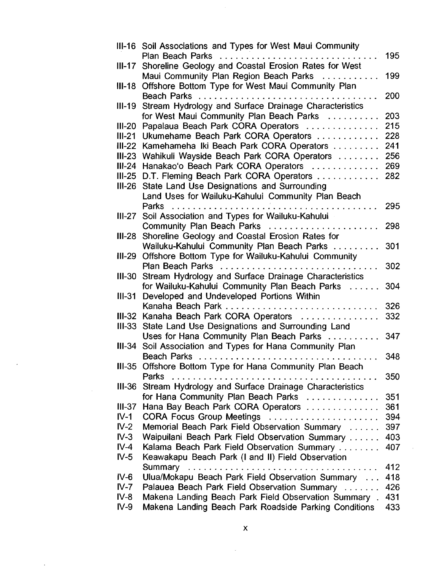|               | III-16 Soil Associations and Types for West Maui Community             |     |
|---------------|------------------------------------------------------------------------|-----|
|               | Plan Beach Parks<br>. . <b>.</b>                                       | 195 |
| $III-17$      | Shoreline Geology and Coastal Erosion Rates for West                   |     |
|               | Maui Community Plan Region Beach Parks                                 | 199 |
|               | III-18 Offshore Bottom Type for West Maui Community Plan               |     |
|               | Beach Parks                                                            | 200 |
| III-19        | Stream Hydrology and Surface Drainage Characteristics                  |     |
|               | for West Maui Community Plan Beach Parks                               | 203 |
| $III-20$      | Papalaua Beach Park CORA Operators                                     | 215 |
|               | III-21 Ukumehame Beach Park CORA Operators                             | 228 |
| $III-22$      | Kamehameha Iki Beach Park CORA Operators                               | 241 |
| <b>III-23</b> | Wahikuli Wayside Beach Park CORA Operators                             | 256 |
| $III-24$      | Hanakao'o Beach Park CORA Operators                                    | 269 |
|               | III-25 D.T. Fleming Beach Park CORA Operators                          | 282 |
| <b>III-26</b> | State Land Use Designations and Surrounding                            |     |
|               | Land Uses for Wailuku-Kahului Community Plan Beach                     |     |
|               | <b>Parks</b>                                                           | 295 |
|               | III-27 Soil Association and Types for Wailuku-Kahului                  |     |
|               | Community Plan Beach Parks                                             | 298 |
| III-28        | Shoreline Geology and Coastal Erosion Rates for                        |     |
|               | Wailuku-Kahului Community Plan Beach Parks                             | 301 |
| III-29        | Offshore Bottom Type for Wailuku-Kahului Community                     |     |
|               | <b>Plan Beach Parks</b><br>. . <i>.</i> . <b>.</b> .                   | 302 |
| III-30        | Stream Hydrology and Surface Drainage Characteristics                  |     |
|               | for Wailuku-Kahului Community Plan Beach Parks<br><b>College State</b> | 304 |
| $III-31$      | Developed and Undeveloped Portions Within                              |     |
|               | Kanaha Beach Park                                                      | 326 |
| III-32        | Kanaha Beach Park CORA Operators                                       | 332 |
| $III-33$      | State Land Use Designations and Surrounding Land                       |     |
|               | Uses for Hana Community Plan Beach Parks                               | 347 |
| III-34        | Soil Association and Types for Hana Community Plan                     |     |
|               | Beach Parks                                                            | 348 |
|               | III-35 Offshore Bottom Type for Hana Community Plan Beach              |     |
|               | Parks<br>. . <i>.</i>                                                  | 350 |
| $III-36$      | Stream Hydrology and Surface Drainage Characteristics                  |     |
|               | for Hana Community Plan Beach Parks                                    | 351 |
| $III-37$      | Hana Bay Beach Park CORA Operators                                     | 361 |
| $IV-1$        | CORA Focus Group Meetings                                              | 394 |
| $IV-2$        | Memorial Beach Park Field Observation Summary                          | 397 |
| $IV-3$        | Waipuilani Beach Park Field Observation Summary                        | 403 |
| $IV-4$        | Kalama Beach Park Field Observation Summary                            | 407 |
| $IV-5$        | Keawakapu Beach Park (I and II) Field Observation                      |     |
|               |                                                                        | 412 |
| $IV-6$        | Ulua/Mokapu Beach Park Field Observation Summary                       | 418 |
| $IV-7$        | Palauea Beach Park Field Observation Summary                           | 426 |
| IV-8          | Makena Landing Beach Park Field Observation Summary.                   | 431 |
| $IV-9$        | Makena Landing Beach Park Roadside Parking Conditions                  | 433 |
|               |                                                                        |     |

 $\frac{1}{2}$ 

 $\hat{\boldsymbol{\beta}}$ 

 $\sim$   $\sim$ 

 $\ddot{\phantom{a}}$